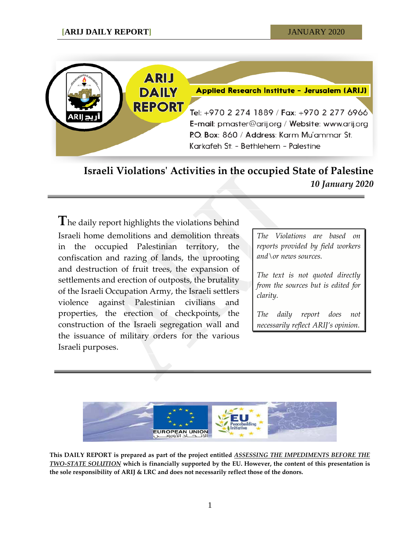

**Israeli Violations' Activities in the occupied State of Palestine** *10 January 2020*

**T**he daily report highlights the violations behind Israeli home demolitions and demolition threats in the occupied Palestinian territory, the confiscation and razing of lands, the uprooting and destruction of fruit trees, the expansion of settlements and erection of outposts, the brutality of the Israeli Occupation Army, the Israeli settlers violence against Palestinian civilians and properties, the erection of checkpoints, the construction of the Israeli segregation wall and the issuance of military orders for the various Israeli purposes.

*The Violations are based on reports provided by field workers and\or news sources.*

*The text is not quoted directly from the sources but is edited for clarity.*

*The daily report does not necessarily reflect ARIJ's opinion.*



**This DAILY REPORT is prepared as part of the project entitled** *ASSESSING THE IMPEDIMENTS BEFORE THE TWO-STATE SOLUTION* **which is financially supported by the EU. However, the content of this presentation is the sole responsibility of ARIJ & LRC and does not necessarily reflect those of the donors.**